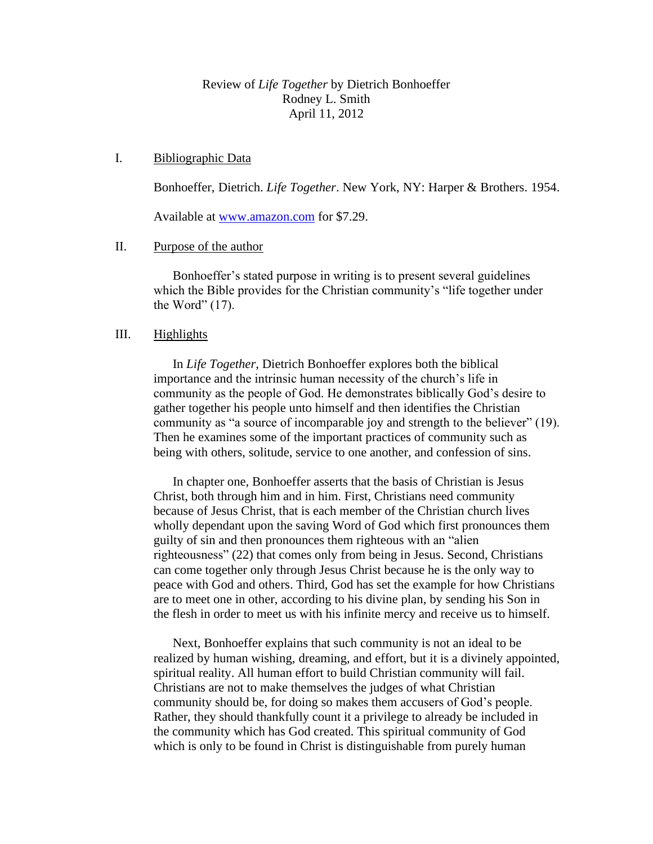# Review of *Life Together* by Dietrich Bonhoeffer Rodney L. Smith April 11, 2012

## I. Bibliographic Data

Bonhoeffer, Dietrich. *Life Together*. New York, NY: Harper & Brothers. 1954.

Available at [www.amazon.com](http://www.amazon.com/) for \$7.29.

# II. Purpose of the author

Bonhoeffer's stated purpose in writing is to present several guidelines which the Bible provides for the Christian community's "life together under the Word"  $(17)$ .

# III. Highlights

In *Life Together*, Dietrich Bonhoeffer explores both the biblical importance and the intrinsic human necessity of the church's life in community as the people of God. He demonstrates biblically God's desire to gather together his people unto himself and then identifies the Christian community as "a source of incomparable joy and strength to the believer" (19). Then he examines some of the important practices of community such as being with others, solitude, service to one another, and confession of sins.

In chapter one, Bonhoeffer asserts that the basis of Christian is Jesus Christ, both through him and in him. First, Christians need community because of Jesus Christ, that is each member of the Christian church lives wholly dependant upon the saving Word of God which first pronounces them guilty of sin and then pronounces them righteous with an "alien righteousness" (22) that comes only from being in Jesus. Second, Christians can come together only through Jesus Christ because he is the only way to peace with God and others. Third, God has set the example for how Christians are to meet one in other, according to his divine plan, by sending his Son in the flesh in order to meet us with his infinite mercy and receive us to himself.

Next, Bonhoeffer explains that such community is not an ideal to be realized by human wishing, dreaming, and effort, but it is a divinely appointed, spiritual reality. All human effort to build Christian community will fail. Christians are not to make themselves the judges of what Christian community should be, for doing so makes them accusers of God's people. Rather, they should thankfully count it a privilege to already be included in the community which has God created. This spiritual community of God which is only to be found in Christ is distinguishable from purely human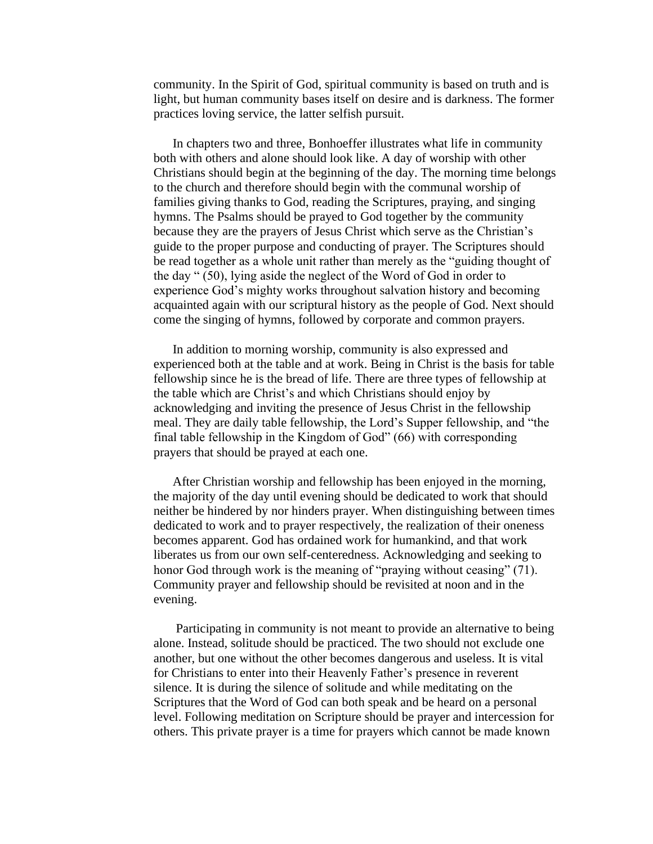community. In the Spirit of God, spiritual community is based on truth and is light, but human community bases itself on desire and is darkness. The former practices loving service, the latter selfish pursuit.

In chapters two and three, Bonhoeffer illustrates what life in community both with others and alone should look like. A day of worship with other Christians should begin at the beginning of the day. The morning time belongs to the church and therefore should begin with the communal worship of families giving thanks to God, reading the Scriptures, praying, and singing hymns. The Psalms should be prayed to God together by the community because they are the prayers of Jesus Christ which serve as the Christian's guide to the proper purpose and conducting of prayer. The Scriptures should be read together as a whole unit rather than merely as the "guiding thought of the day " (50), lying aside the neglect of the Word of God in order to experience God's mighty works throughout salvation history and becoming acquainted again with our scriptural history as the people of God. Next should come the singing of hymns, followed by corporate and common prayers.

In addition to morning worship, community is also expressed and experienced both at the table and at work. Being in Christ is the basis for table fellowship since he is the bread of life. There are three types of fellowship at the table which are Christ's and which Christians should enjoy by acknowledging and inviting the presence of Jesus Christ in the fellowship meal. They are daily table fellowship, the Lord's Supper fellowship, and "the final table fellowship in the Kingdom of God" (66) with corresponding prayers that should be prayed at each one.

After Christian worship and fellowship has been enjoyed in the morning, the majority of the day until evening should be dedicated to work that should neither be hindered by nor hinders prayer. When distinguishing between times dedicated to work and to prayer respectively, the realization of their oneness becomes apparent. God has ordained work for humankind, and that work liberates us from our own self-centeredness. Acknowledging and seeking to honor God through work is the meaning of "praying without ceasing" (71). Community prayer and fellowship should be revisited at noon and in the evening.

Participating in community is not meant to provide an alternative to being alone. Instead, solitude should be practiced. The two should not exclude one another, but one without the other becomes dangerous and useless. It is vital for Christians to enter into their Heavenly Father's presence in reverent silence. It is during the silence of solitude and while meditating on the Scriptures that the Word of God can both speak and be heard on a personal level. Following meditation on Scripture should be prayer and intercession for others. This private prayer is a time for prayers which cannot be made known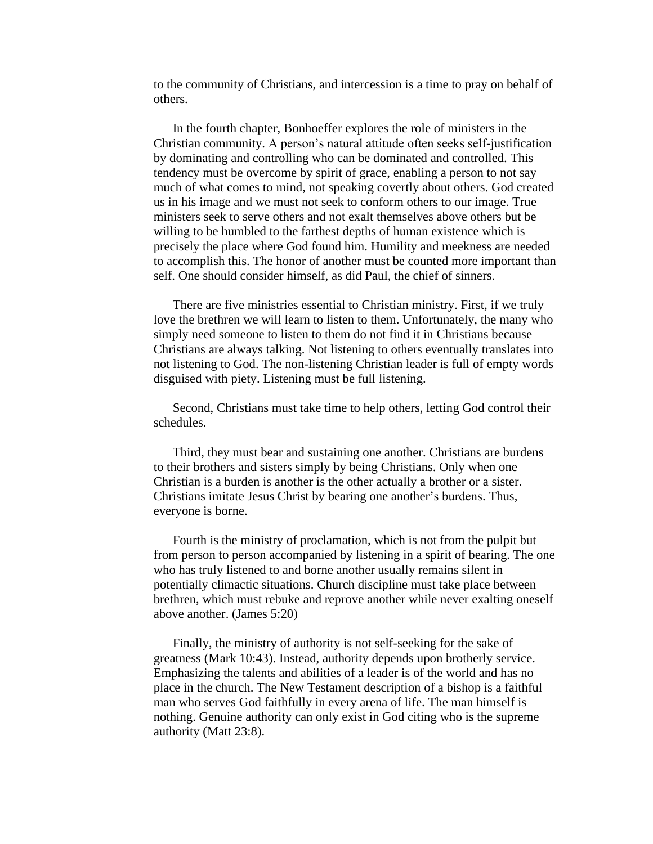to the community of Christians, and intercession is a time to pray on behalf of others.

In the fourth chapter, Bonhoeffer explores the role of ministers in the Christian community. A person's natural attitude often seeks self-justification by dominating and controlling who can be dominated and controlled. This tendency must be overcome by spirit of grace, enabling a person to not say much of what comes to mind, not speaking covertly about others. God created us in his image and we must not seek to conform others to our image. True ministers seek to serve others and not exalt themselves above others but be willing to be humbled to the farthest depths of human existence which is precisely the place where God found him. Humility and meekness are needed to accomplish this. The honor of another must be counted more important than self. One should consider himself, as did Paul, the chief of sinners.

There are five ministries essential to Christian ministry. First, if we truly love the brethren we will learn to listen to them. Unfortunately, the many who simply need someone to listen to them do not find it in Christians because Christians are always talking. Not listening to others eventually translates into not listening to God. The non-listening Christian leader is full of empty words disguised with piety. Listening must be full listening.

Second, Christians must take time to help others, letting God control their schedules.

Third, they must bear and sustaining one another. Christians are burdens to their brothers and sisters simply by being Christians. Only when one Christian is a burden is another is the other actually a brother or a sister. Christians imitate Jesus Christ by bearing one another's burdens. Thus, everyone is borne.

Fourth is the ministry of proclamation, which is not from the pulpit but from person to person accompanied by listening in a spirit of bearing. The one who has truly listened to and borne another usually remains silent in potentially climactic situations. Church discipline must take place between brethren, which must rebuke and reprove another while never exalting oneself above another. (James 5:20)

Finally, the ministry of authority is not self-seeking for the sake of greatness (Mark 10:43). Instead, authority depends upon brotherly service. Emphasizing the talents and abilities of a leader is of the world and has no place in the church. The New Testament description of a bishop is a faithful man who serves God faithfully in every arena of life. The man himself is nothing. Genuine authority can only exist in God citing who is the supreme authority (Matt 23:8).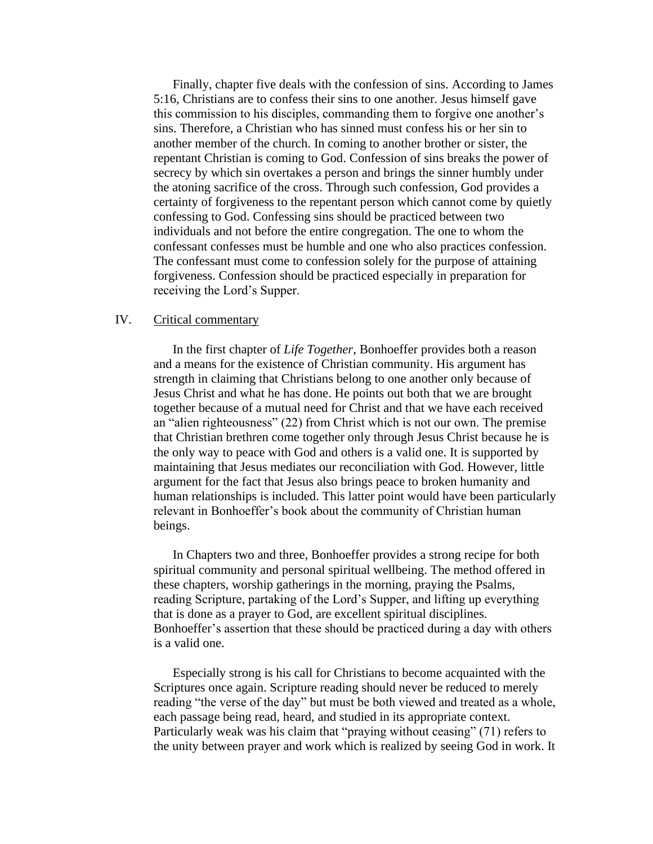Finally, chapter five deals with the confession of sins. According to James 5:16, Christians are to confess their sins to one another. Jesus himself gave this commission to his disciples, commanding them to forgive one another's sins. Therefore, a Christian who has sinned must confess his or her sin to another member of the church. In coming to another brother or sister, the repentant Christian is coming to God. Confession of sins breaks the power of secrecy by which sin overtakes a person and brings the sinner humbly under the atoning sacrifice of the cross. Through such confession, God provides a certainty of forgiveness to the repentant person which cannot come by quietly confessing to God. Confessing sins should be practiced between two individuals and not before the entire congregation. The one to whom the confessant confesses must be humble and one who also practices confession. The confessant must come to confession solely for the purpose of attaining forgiveness. Confession should be practiced especially in preparation for receiving the Lord's Supper.

#### IV. Critical commentary

In the first chapter of *Life Together*, Bonhoeffer provides both a reason and a means for the existence of Christian community. His argument has strength in claiming that Christians belong to one another only because of Jesus Christ and what he has done. He points out both that we are brought together because of a mutual need for Christ and that we have each received an "alien righteousness" (22) from Christ which is not our own. The premise that Christian brethren come together only through Jesus Christ because he is the only way to peace with God and others is a valid one. It is supported by maintaining that Jesus mediates our reconciliation with God. However, little argument for the fact that Jesus also brings peace to broken humanity and human relationships is included. This latter point would have been particularly relevant in Bonhoeffer's book about the community of Christian human beings.

In Chapters two and three, Bonhoeffer provides a strong recipe for both spiritual community and personal spiritual wellbeing. The method offered in these chapters, worship gatherings in the morning, praying the Psalms, reading Scripture, partaking of the Lord's Supper, and lifting up everything that is done as a prayer to God, are excellent spiritual disciplines. Bonhoeffer's assertion that these should be practiced during a day with others is a valid one.

Especially strong is his call for Christians to become acquainted with the Scriptures once again. Scripture reading should never be reduced to merely reading "the verse of the day" but must be both viewed and treated as a whole, each passage being read, heard, and studied in its appropriate context. Particularly weak was his claim that "praying without ceasing" (71) refers to the unity between prayer and work which is realized by seeing God in work. It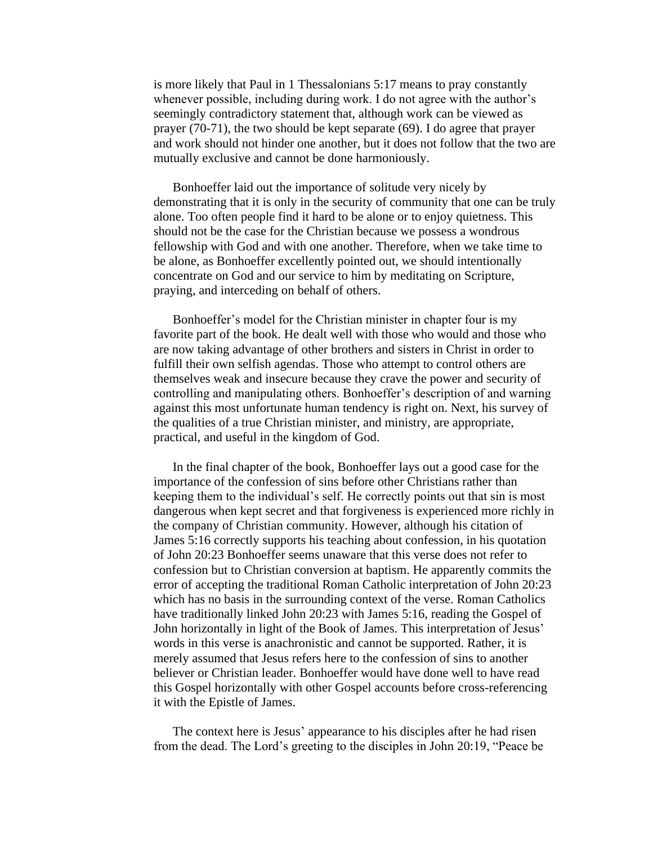is more likely that Paul in 1 Thessalonians 5:17 means to pray constantly whenever possible, including during work. I do not agree with the author's seemingly contradictory statement that, although work can be viewed as prayer (70-71), the two should be kept separate (69). I do agree that prayer and work should not hinder one another, but it does not follow that the two are mutually exclusive and cannot be done harmoniously.

Bonhoeffer laid out the importance of solitude very nicely by demonstrating that it is only in the security of community that one can be truly alone. Too often people find it hard to be alone or to enjoy quietness. This should not be the case for the Christian because we possess a wondrous fellowship with God and with one another. Therefore, when we take time to be alone, as Bonhoeffer excellently pointed out, we should intentionally concentrate on God and our service to him by meditating on Scripture, praying, and interceding on behalf of others.

Bonhoeffer's model for the Christian minister in chapter four is my favorite part of the book. He dealt well with those who would and those who are now taking advantage of other brothers and sisters in Christ in order to fulfill their own selfish agendas. Those who attempt to control others are themselves weak and insecure because they crave the power and security of controlling and manipulating others. Bonhoeffer's description of and warning against this most unfortunate human tendency is right on. Next, his survey of the qualities of a true Christian minister, and ministry, are appropriate, practical, and useful in the kingdom of God.

In the final chapter of the book, Bonhoeffer lays out a good case for the importance of the confession of sins before other Christians rather than keeping them to the individual's self. He correctly points out that sin is most dangerous when kept secret and that forgiveness is experienced more richly in the company of Christian community. However, although his citation of James 5:16 correctly supports his teaching about confession, in his quotation of John 20:23 Bonhoeffer seems unaware that this verse does not refer to confession but to Christian conversion at baptism. He apparently commits the error of accepting the traditional Roman Catholic interpretation of John 20:23 which has no basis in the surrounding context of the verse. Roman Catholics have traditionally linked John 20:23 with James 5:16, reading the Gospel of John horizontally in light of the Book of James. This interpretation of Jesus' words in this verse is anachronistic and cannot be supported. Rather, it is merely assumed that Jesus refers here to the confession of sins to another believer or Christian leader. Bonhoeffer would have done well to have read this Gospel horizontally with other Gospel accounts before cross-referencing it with the Epistle of James.

The context here is Jesus' appearance to his disciples after he had risen from the dead. The Lord's greeting to the disciples in John 20:19, "Peace be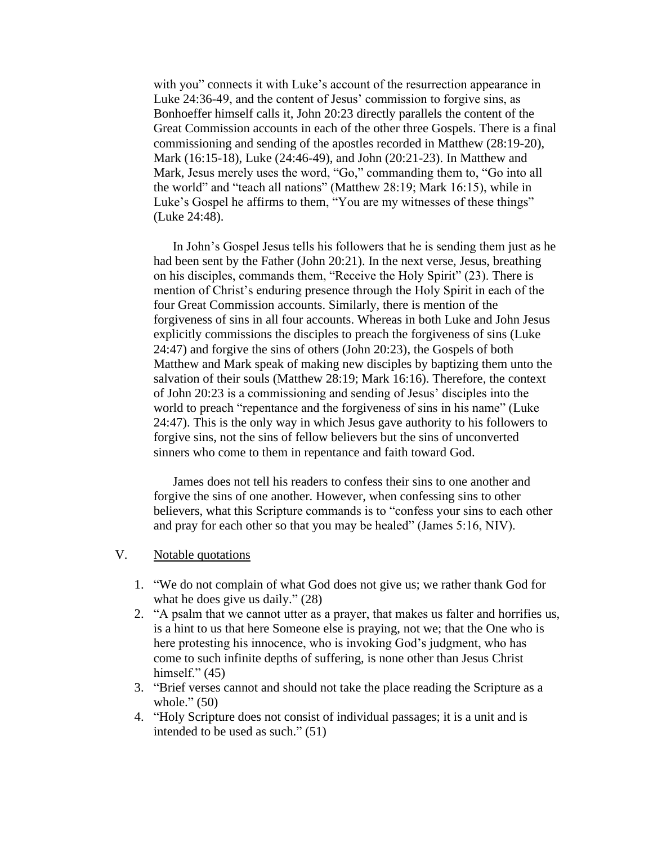with you" connects it with Luke's account of the resurrection appearance in Luke 24:36-49, and the content of Jesus' commission to forgive sins, as Bonhoeffer himself calls it, John 20:23 directly parallels the content of the Great Commission accounts in each of the other three Gospels. There is a final commissioning and sending of the apostles recorded in Matthew (28:19-20), Mark (16:15-18), Luke (24:46-49), and John (20:21-23). In Matthew and Mark, Jesus merely uses the word, "Go," commanding them to, "Go into all the world" and "teach all nations" (Matthew 28:19; Mark 16:15), while in Luke's Gospel he affirms to them, "You are my witnesses of these things" (Luke 24:48).

In John's Gospel Jesus tells his followers that he is sending them just as he had been sent by the Father (John 20:21). In the next verse, Jesus, breathing on his disciples, commands them, "Receive the Holy Spirit" (23). There is mention of Christ's enduring presence through the Holy Spirit in each of the four Great Commission accounts. Similarly, there is mention of the forgiveness of sins in all four accounts. Whereas in both Luke and John Jesus explicitly commissions the disciples to preach the forgiveness of sins (Luke 24:47) and forgive the sins of others (John 20:23), the Gospels of both Matthew and Mark speak of making new disciples by baptizing them unto the salvation of their souls (Matthew 28:19; Mark 16:16). Therefore, the context of John 20:23 is a commissioning and sending of Jesus' disciples into the world to preach "repentance and the forgiveness of sins in his name" (Luke 24:47). This is the only way in which Jesus gave authority to his followers to forgive sins, not the sins of fellow believers but the sins of unconverted sinners who come to them in repentance and faith toward God.

James does not tell his readers to confess their sins to one another and forgive the sins of one another. However, when confessing sins to other believers, what this Scripture commands is to "confess your sins to each other and pray for each other so that you may be healed" (James 5:16, NIV).

## V. Notable quotations

- 1. "We do not complain of what God does not give us; we rather thank God for what he does give us daily." (28)
- 2. "A psalm that we cannot utter as a prayer, that makes us falter and horrifies us, is a hint to us that here Someone else is praying, not we; that the One who is here protesting his innocence, who is invoking God's judgment, who has come to such infinite depths of suffering, is none other than Jesus Christ himself."  $(45)$
- 3. "Brief verses cannot and should not take the place reading the Scripture as a whole."  $(50)$
- 4. "Holy Scripture does not consist of individual passages; it is a unit and is intended to be used as such." (51)